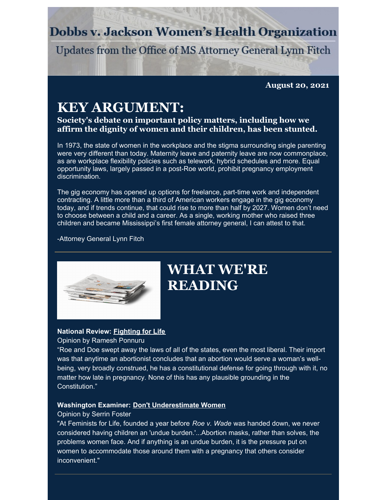### **Dobbs v. Jackson Women's Health Organization**

Updates from the Office of MS Attorney General Lynn Fitch

**August 20, 2021**

# **KEY ARGUMENT:**

### **Society's debate on important policy matters, including how we affirm the dignity of women and their children, has been stunted.**

In 1973, the state of women in the workplace and the stigma surrounding single parenting were very different than today. Maternity leave and paternity leave are now commonplace, as are workplace flexibility policies such as telework, hybrid schedules and more. Equal opportunity laws, largely passed in a post-Roe world, prohibit pregnancy employment discrimination.

The gig economy has opened up options for freelance, part-time work and independent contracting. A little more than a third of American workers engage in the gig economy today, and if trends continue, that could rise to more than half by 2027. Women don't need to choose between a child and a career. As a single, working mother who raised three children and became Mississippi's first female attorney general, I can attest to that.

-Attorney General Lynn Fitch



## **WHAT WE'RE READING**

#### **National Review: [Fighting](https://www.nationalreview.com/magazine/2021/09/01/life-time/#slide-1) for Life**

#### Opinion by Ramesh Ponnuru

"Roe and Doe swept away the laws of all of the states, even the most liberal. Their import was that anytime an abortionist concludes that an abortion would serve a woman's wellbeing, very broadly construed, he has a constitutional defense for going through with it, no matter how late in pregnancy. None of this has any plausible grounding in the Constitution."

#### **Washington Examiner: Don't [Underestimate](https://www.washingtonexaminer.com/opinion/op-eds/dont-underestimate-women) Women**

#### Opinion by Serrin Foster

"At Feminists for Life, founded a year before *Roe v. Wade* was handed down, we never considered having children an 'undue burden.'...Abortion masks, rather than solves, the problems women face. And if anything is an undue burden, it is the pressure put on women to accommodate those around them with a pregnancy that others consider inconvenient."